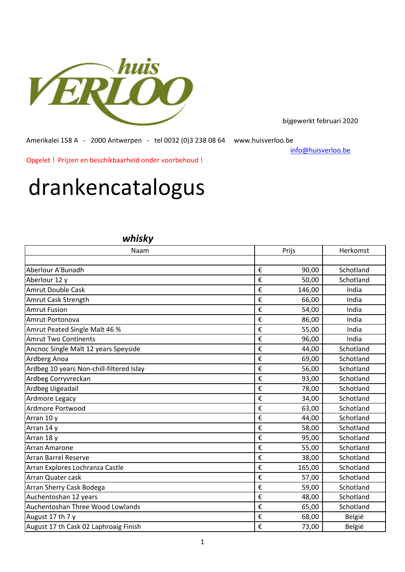

bijgewerkt februari 2020

Amerikalei 158 A - 2000 Antwerpen - tel 0032 (0)3 238 08 64 www.huisverloo.be

[info@huisv](mailto:info@huisverloo.be)erloo.be

Opgelet ! Prijzen en beschikbaarheid onder voorbehoud !

## drankencatalogus

## *whisky*

| Naam                                     |   | Prijs  | Herkomst  |  |
|------------------------------------------|---|--------|-----------|--|
|                                          |   |        |           |  |
| Aberlour A'Bunadh                        | € | 90,00  | Schotland |  |
| Aberlour 12 y                            | € | 50,00  | Schotland |  |
| <b>Amrut Double Cask</b>                 | € | 146,00 | India     |  |
| Amrut Cask Strength                      | € | 66,00  | India     |  |
| <b>Amrut Fusion</b>                      | € | 54,00  | India     |  |
| Amrut Portonova                          | € | 86,00  | India     |  |
| Amrut Peated Single Malt 46 %            | € | 55,00  | India     |  |
| <b>Amrut Two Continents</b>              | € | 96,00  | India     |  |
| Ancnoc Single Malt 12 years Speyside     | € | 44,00  | Schotland |  |
| Ardberg Anoa                             | € | 69,00  | Schotland |  |
| Ardbeg 10 years Non-chill-filtered Islay | € | 56,00  | Schotland |  |
| Ardbeg Corryvreckan                      | € | 93,00  | Schotland |  |
| Ardbeg Uigeadail                         | € | 78,00  | Schotland |  |
| Ardmore Legacy                           | € | 34,00  | Schotland |  |
| Ardmore Portwood                         | € | 63,00  | Schotland |  |
| Arran 10 y                               | € | 44,00  | Schotland |  |
| Arran 14 y                               | € | 58,00  | Schotland |  |
| Arran 18 y                               | € | 95,00  | Schotland |  |
| <b>Arran Amarone</b>                     | € | 55,00  | Schotland |  |
| <b>Arran Barrel Reserve</b>              | € | 38,00  | Schotland |  |
| Arran Explores Lochranza Castle          | € | 165,00 | Schotland |  |
| Arran Quater cask                        | € | 57,00  | Schotland |  |
| Arran Sherry Cask Bodega                 | € | 59,00  | Schotland |  |
| Auchentoshan 12 years                    | € | 48,00  | Schotland |  |
| Auchentoshan Three Wood Lowlands         | € | 65,00  | Schotland |  |
| August 17 th 7 y                         | € | 68,00  | België    |  |
| August 17 th Cask 02 Laphroaig Finish    | € | 73,00  | België    |  |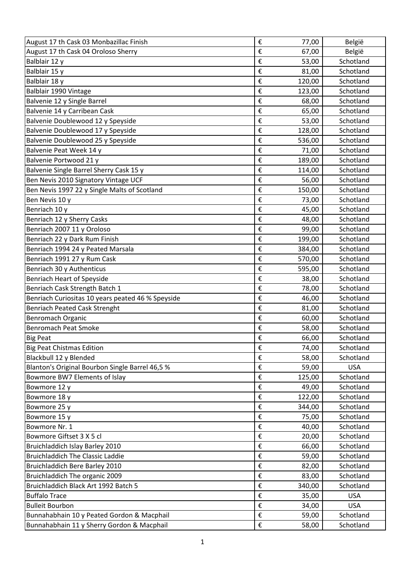| August 17 th Cask 03 Monbazillac Finish           | €                       | 77,00  | België     |
|---------------------------------------------------|-------------------------|--------|------------|
| August 17 th Cask 04 Oroloso Sherry               | €                       | 67,00  | België     |
| Balblair 12 y                                     | €                       | 53,00  | Schotland  |
| Balblair 15 y                                     | €                       | 81,00  | Schotland  |
| Balblair 18 y                                     | €                       | 120,00 | Schotland  |
| Balblair 1990 Vintage                             | €                       | 123,00 | Schotland  |
| Balvenie 12 y Single Barrel                       | €                       | 68,00  | Schotland  |
| Balvenie 14 y Carribean Cask                      | €                       | 65,00  | Schotland  |
| Balvenie Doublewood 12 y Speyside                 | €                       | 53,00  | Schotland  |
| Balvenie Doublewood 17 y Speyside                 | €                       | 128,00 | Schotland  |
| Balvenie Doublewood 25 y Speyside                 | €                       | 536,00 | Schotland  |
| Balvenie Peat Week 14 y                           | €                       | 71,00  | Schotland  |
| Balvenie Portwood 21 y                            | €                       | 189,00 | Schotland  |
| Balvenie Single Barrel Sherry Cask 15 y           | €                       | 114,00 | Schotland  |
| Ben Nevis 2010 Signatory Vintage UCF              | €                       | 56,00  | Schotland  |
| Ben Nevis 1997 22 y Single Malts of Scotland      | €                       | 150,00 | Schotland  |
| Ben Nevis 10 y                                    | €                       | 73,00  | Schotland  |
| Benriach 10 y                                     | €                       | 45,00  | Schotland  |
| Benriach 12 y Sherry Casks                        | €                       | 48,00  | Schotland  |
| Benriach 2007 11 y Oroloso                        | €                       | 99,00  | Schotland  |
| Benriach 22 y Dark Rum Finish                     | €                       | 199,00 | Schotland  |
| Benriach 1994 24 y Peated Marsala                 | €                       | 384,00 | Schotland  |
| Benriach 1991 27 y Rum Cask                       | €                       | 570,00 | Schotland  |
| Benriach 30 y Authenticus                         | €                       | 595,00 | Schotland  |
| <b>Benriach Heart of Speyside</b>                 | €                       | 38,00  | Schotland  |
| Benriach Cask Strength Batch 1                    | €                       | 78,00  | Schotland  |
| Benriach Curiositas 10 years peated 46 % Speyside | €                       | 46,00  | Schotland  |
| <b>Benriach Peated Cask Strenght</b>              | €                       | 81,00  | Schotland  |
| <b>Benromach Organic</b>                          | €                       | 60,00  | Schotland  |
| <b>Benromach Peat Smoke</b>                       | €                       | 58,00  | Schotland  |
| <b>Big Peat</b>                                   | €                       | 66,00  | Schotland  |
| <b>Big Peat Chistmas Edition</b>                  | €                       | 74,00  | Schotland  |
| Blackbull 12 y Blended                            | €                       | 58,00  | Schotland  |
| Blanton's Original Bourbon Single Barrel 46,5 %   | €                       | 59,00  | <b>USA</b> |
| Bowmore BW7 Elements of Islay                     | €                       | 125,00 | Schotland  |
| Bowmore 12 y                                      | €                       | 49,00  | Schotland  |
| Bowmore 18 y                                      | €                       | 122,00 | Schotland  |
| Bowmore 25 y                                      | €                       | 344,00 | Schotland  |
| Bowmore 15 y                                      | €                       | 75,00  | Schotland  |
| Bowmore Nr. 1                                     | €                       | 40,00  | Schotland  |
| Bowmore Giftset 3 X 5 cl                          | €                       | 20,00  | Schotland  |
| Bruichladdich Islay Barley 2010                   | €                       | 66,00  | Schotland  |
| <b>Bruichladdich The Classic Laddie</b>           | €                       | 59,00  | Schotland  |
| Bruichladdich Bere Barley 2010                    | €                       | 82,00  | Schotland  |
| Bruichladdich The organic 2009                    | €                       | 83,00  | Schotland  |
| Bruichladdich Black Art 1992 Batch 5              | €                       | 340,00 | Schotland  |
| <b>Buffalo Trace</b>                              | €                       | 35,00  | <b>USA</b> |
| <b>Bulleit Bourbon</b>                            | €                       | 34,00  | <b>USA</b> |
| Bunnahabhain 10 y Peated Gordon & Macphail        | €                       | 59,00  | Schotland  |
| Bunnahabhain 11 y Sherry Gordon & Macphail        | $\boldsymbol{\epsilon}$ | 58,00  | Schotland  |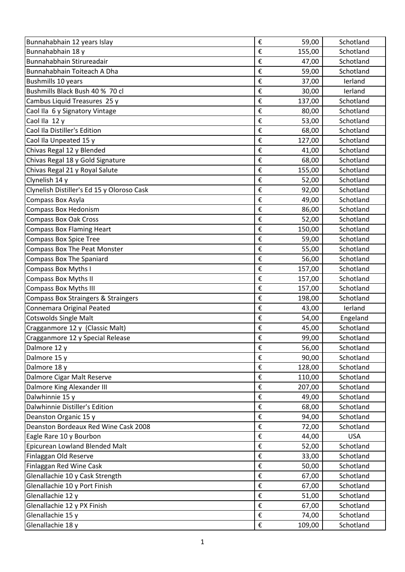| Bunnahabhain 12 years Islay                    | € | 59,00  | Schotland  |
|------------------------------------------------|---|--------|------------|
| Bunnahabhain 18 y                              | € | 155,00 | Schotland  |
| Bunnahabhain Stirureadair                      | € | 47,00  | Schotland  |
| Bunnahabhain Toiteach A Dha                    | € | 59,00  | Schotland  |
| <b>Bushmills 10 years</b>                      | € | 37,00  | lerland    |
| Bushmills Black Bush 40 % 70 cl                | € | 30,00  | lerland    |
| Cambus Liquid Treasures 25 y                   | € | 137,00 | Schotland  |
| Caol Ila 6 y Signatory Vintage                 | € | 80,00  | Schotland  |
| Caol Ila 12 y                                  | € | 53,00  | Schotland  |
| Caol Ila Distiller's Edition                   | € | 68,00  | Schotland  |
| Caol Ila Unpeated 15 y                         | € | 127,00 | Schotland  |
| Chivas Regal 12 y Blended                      | € | 41,00  | Schotland  |
| Chivas Regal 18 y Gold Signature               | € | 68,00  | Schotland  |
| Chivas Regal 21 y Royal Salute                 | € | 155,00 | Schotland  |
| Clynelish 14 y                                 | € | 52,00  | Schotland  |
| Clynelish Distiller's Ed 15 y Oloroso Cask     | € | 92,00  | Schotland  |
| Compass Box Asyla                              | € | 49,00  | Schotland  |
| <b>Compass Box Hedonism</b>                    | € | 86,00  | Schotland  |
| <b>Compass Box Oak Cross</b>                   | € | 52,00  | Schotland  |
| <b>Compass Box Flaming Heart</b>               | € | 150,00 | Schotland  |
| <b>Compass Box Spice Tree</b>                  | € | 59,00  | Schotland  |
| <b>Compass Box The Peat Monster</b>            | € | 55,00  | Schotland  |
| <b>Compass Box The Spaniard</b>                | € | 56,00  | Schotland  |
| <b>Compass Box Myths I</b>                     | € | 157,00 | Schotland  |
| <b>Compass Box Myths II</b>                    | € | 157,00 | Schotland  |
| <b>Compass Box Myths III</b>                   | € | 157,00 | Schotland  |
| <b>Compass Box Straingers &amp; Straingers</b> | € | 198,00 | Schotland  |
| Connemara Original Peated                      | € | 43,00  | lerland    |
| <b>Cotswolds Single Malt</b>                   | € | 54,00  | Engeland   |
| Cragganmore 12 y (Classic Malt)                | € | 45,00  | Schotland  |
| Cragganmore 12 y Special Release               | € | 99,00  | Schotland  |
| Dalmore 12 y                                   | € | 56,00  | Schotland  |
| Dalmore 15 y                                   | € | 90,00  | Schotland  |
| Dalmore 18 y                                   | € | 128,00 | Schotland  |
| Dalmore Cigar Malt Reserve                     | € | 110,00 | Schotland  |
| Dalmore King Alexander III                     | € | 207,00 | Schotland  |
| Dalwhinnie 15 y                                | € | 49,00  | Schotland  |
| Dalwhinnie Distiller's Edition                 | € | 68,00  | Schotland  |
| Deanston Organic 15 y                          | € | 94,00  | Schotland  |
| Deanston Bordeaux Red Wine Cask 2008           | € | 72,00  | Schotland  |
| Eagle Rare 10 y Bourbon                        | € | 44,00  | <b>USA</b> |
| Epicurean Lowland Blended Malt                 | € | 52,00  | Schotland  |
| Finlaggan Old Reserve                          | € | 33,00  | Schotland  |
| Finlaggan Red Wine Cask                        | € | 50,00  | Schotland  |
| Glenallachie 10 y Cask Strength                | € | 67,00  | Schotland  |
| Glenallachie 10 y Port Finish                  | € | 67,00  | Schotland  |
| Glenallachie 12 y                              | € | 51,00  | Schotland  |
| Glenallachie 12 y PX Finish                    | € | 67,00  | Schotland  |
| Glenallachie 15 y                              | € | 74,00  | Schotland  |
| Glenallachie 18 y                              | € | 109,00 | Schotland  |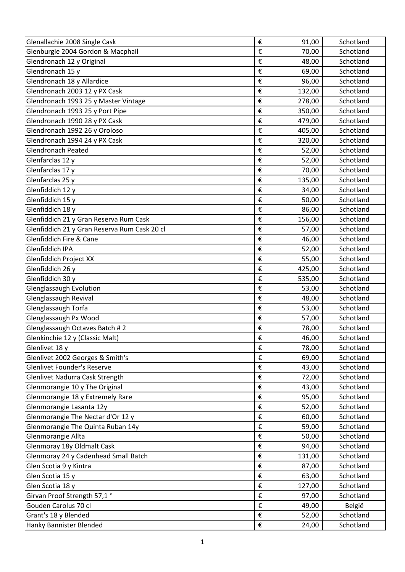| Glenallachie 2008 Single Cask                | €                       | 91,00  | Schotland |
|----------------------------------------------|-------------------------|--------|-----------|
| Glenburgie 2004 Gordon & Macphail            | €                       | 70,00  | Schotland |
| Glendronach 12 y Original                    | €                       | 48,00  | Schotland |
| Glendronach 15 y                             | €                       | 69,00  | Schotland |
| Glendronach 18 y Allardice                   | €                       | 96,00  | Schotland |
| Glendronach 2003 12 y PX Cask                | €                       | 132,00 | Schotland |
| Glendronach 1993 25 y Master Vintage         | €                       | 278,00 | Schotland |
| Glendronach 1993 25 y Port Pipe              | €                       | 350,00 | Schotland |
| Glendronach 1990 28 y PX Cask                | €                       | 479,00 | Schotland |
| Glendronach 1992 26 y Oroloso                | €                       | 405,00 | Schotland |
| Glendronach 1994 24 y PX Cask                | €                       | 320,00 | Schotland |
| <b>Glendronach Peated</b>                    | €                       | 52,00  | Schotland |
| Glenfarclas 12 y                             | €                       | 52,00  | Schotland |
| Glenfarclas 17 y                             | €                       | 70,00  | Schotland |
| Glenfarclas 25 y                             | €                       | 135,00 | Schotland |
| Glenfiddich 12 y                             | €                       | 34,00  | Schotland |
| Glenfiddich 15 y                             | €                       | 50,00  | Schotland |
| Glenfiddich 18 y                             | €                       | 86,00  | Schotland |
| Glenfiddich 21 y Gran Reserva Rum Cask       | €                       | 156,00 | Schotland |
| Glenfiddich 21 y Gran Reserva Rum Cask 20 cl | €                       | 57,00  | Schotland |
| Glenfiddich Fire & Cane                      | €                       | 46,00  | Schotland |
| Glenfiddich IPA                              | €                       | 52,00  | Schotland |
| Glenfiddich Project XX                       | €                       | 55,00  | Schotland |
| Glenfiddich 26 y                             | €                       | 425,00 | Schotland |
| Glenfiddich 30 y                             | €                       | 535,00 | Schotland |
| Glenglassaugh Evolution                      | €                       | 53,00  | Schotland |
| Glenglassaugh Revival                        | €                       | 48,00  | Schotland |
| Glenglassaugh Torfa                          | €                       | 53,00  | Schotland |
| Glenglassaugh Px Wood                        | €                       | 57,00  | Schotland |
| Glenglassaugh Octaves Batch #2               | €                       | 78,00  | Schotland |
| Glenkinchie 12 y (Classic Malt)              | €                       | 46,00  | Schotland |
| Glenlivet 18 y                               | €                       | 78,00  | Schotland |
| Glenlivet 2002 Georges & Smith's             | €                       | 69,00  | Schotland |
| <b>Glenlivet Founder's Reserve</b>           | €                       | 43,00  | Schotland |
| Glenlivet Nadurra Cask Strength              | €                       | 72,00  | Schotland |
| Glenmorangie 10 y The Original               | €                       | 43,00  | Schotland |
| Glenmorangie 18 y Extremely Rare             | €                       | 95,00  | Schotland |
| Glenmorangie Lasanta 12y                     | €                       | 52,00  | Schotland |
| Glenmorangie The Nectar d'Or 12 y            | €                       | 60,00  | Schotland |
| Glenmorangie The Quinta Ruban 14y            | €                       | 59,00  | Schotland |
| Glenmorangie Allta                           | €                       | 50,00  | Schotland |
| Glenmoray 18y Oldmalt Cask                   | €                       | 94,00  | Schotland |
| Glenmoray 24 y Cadenhead Small Batch         | €                       | 131,00 | Schotland |
| Glen Scotia 9 y Kintra                       | €                       | 87,00  | Schotland |
| Glen Scotia 15 y                             | €                       | 63,00  | Schotland |
| Glen Scotia 18 y                             | €                       | 127,00 | Schotland |
| Girvan Proof Strength 57,1°                  | €                       | 97,00  | Schotland |
| Gouden Carolus 70 cl                         | €                       | 49,00  | België    |
| Grant's 18 y Blended                         | €                       | 52,00  | Schotland |
| Hanky Bannister Blended                      | $\boldsymbol{\epsilon}$ | 24,00  | Schotland |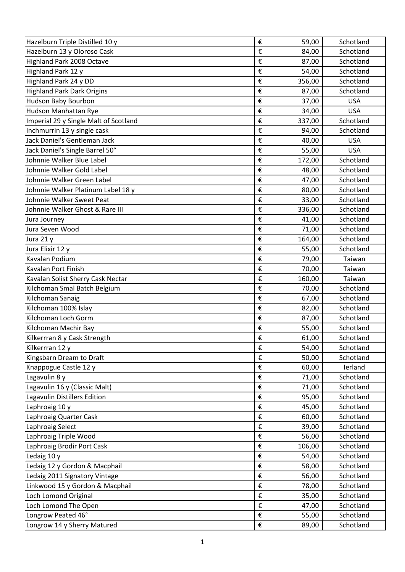| Hazelburn Triple Distilled 10 y       | €                       | 59,00  | Schotland  |
|---------------------------------------|-------------------------|--------|------------|
| Hazelburn 13 y Oloroso Cask           | €                       | 84,00  | Schotland  |
| Highland Park 2008 Octave             | €                       | 87,00  | Schotland  |
| Highland Park 12 y                    | €                       | 54,00  | Schotland  |
| Highland Park 24 y DD                 | €                       | 356,00 | Schotland  |
| <b>Highland Park Dark Origins</b>     | €                       | 87,00  | Schotland  |
| Hudson Baby Bourbon                   | €                       | 37,00  | <b>USA</b> |
| Hudson Manhattan Rye                  | €                       | 34,00  | <b>USA</b> |
| Imperial 29 y Single Malt of Scotland | €                       | 337,00 | Schotland  |
| Inchmurrin 13 y single cask           | €                       | 94,00  | Schotland  |
| Jack Daniel's Gentleman Jack          | €                       | 40,00  | <b>USA</b> |
| Jack Daniel's Single Barrel 50°       | €                       | 55,00  | <b>USA</b> |
| Johnnie Walker Blue Label             | €                       | 172,00 | Schotland  |
| Johnnie Walker Gold Label             | €                       | 48,00  | Schotland  |
| Johnnie Walker Green Label            | €                       | 47,00  | Schotland  |
| Johnnie Walker Platinum Label 18 y    | €                       | 80,00  | Schotland  |
| Johnnie Walker Sweet Peat             | €                       | 33,00  | Schotland  |
| Johnnie Walker Ghost & Rare III       | €                       | 336,00 | Schotland  |
| Jura Journey                          | €                       | 41,00  | Schotland  |
| Jura Seven Wood                       | €                       | 71,00  | Schotland  |
| Jura 21 y                             | €                       | 164,00 | Schotland  |
| Jura Elixir 12 y                      | €                       | 55,00  | Schotland  |
| Kavalan Podium                        | €                       | 79,00  | Taiwan     |
| Kavalan Port Finish                   | €                       | 70,00  | Taiwan     |
| Kavalan Solist Sherry Cask Nectar     | €                       | 160,00 | Taiwan     |
| Kilchoman Smal Batch Belgium          | €                       | 70,00  | Schotland  |
| Kilchoman Sanaig                      | €                       | 67,00  | Schotland  |
| Kilchoman 100% Islay                  | €                       | 82,00  | Schotland  |
| Kilchoman Loch Gorm                   | €                       | 87,00  | Schotland  |
| Kilchoman Machir Bay                  | €                       | 55,00  | Schotland  |
| Kilkerrran 8 y Cask Strength          | €                       | 61,00  | Schotland  |
| Kilkerrran 12 y                       | €                       | 54,00  | Schotland  |
| Kingsbarn Dream to Draft              | €                       | 50,00  | Schotland  |
| Knappogue Castle 12 y                 | €                       | 60,00  | lerland    |
| Lagavulin 8 y                         | €                       | 71,00  | Schotland  |
| Lagavulin 16 y (Classic Malt)         | €                       | 71,00  | Schotland  |
| Lagavulin Distillers Edition          | €                       | 95,00  | Schotland  |
| Laphroaig 10 y                        | €                       | 45,00  | Schotland  |
| Laphroaig Quarter Cask                | €                       | 60,00  | Schotland  |
| Laphroaig Select                      | €                       | 39,00  | Schotland  |
| Laphroaig Triple Wood                 | €                       | 56,00  | Schotland  |
| Laphroaig Brodir Port Cask            | €                       | 106,00 | Schotland  |
| Ledaig 10 y                           | €                       | 54,00  | Schotland  |
| Ledaig 12 y Gordon & Macphail         | €                       | 58,00  | Schotland  |
| Ledaig 2011 Signatory Vintage         | €                       | 56,00  | Schotland  |
| Linkwood 15 y Gordon & Macphail       | €                       | 78,00  | Schotland  |
| Loch Lomond Original                  | €                       | 35,00  | Schotland  |
| Loch Lomond The Open                  | €                       | 47,00  | Schotland  |
| Longrow Peated 46°                    | €                       | 55,00  | Schotland  |
| Longrow 14 y Sherry Matured           | $\boldsymbol{\epsilon}$ | 89,00  | Schotland  |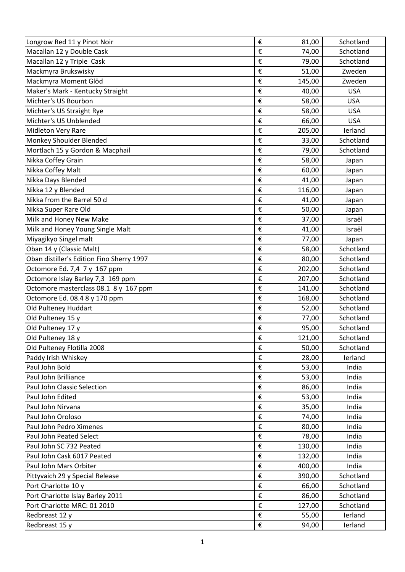| Longrow Red 11 y Pinot Noir               | €                       | 81,00  | Schotland  |
|-------------------------------------------|-------------------------|--------|------------|
| Macallan 12 y Double Cask                 | €                       | 74,00  | Schotland  |
| Macallan 12 y Triple Cask                 | €                       | 79,00  | Schotland  |
| Mackmyra Brukswisky                       | €                       | 51,00  | Zweden     |
| Mackmyra Moment Glöd                      | €                       | 145,00 | Zweden     |
| Maker's Mark - Kentucky Straight          | €                       | 40,00  | <b>USA</b> |
| Michter's US Bourbon                      | €                       | 58,00  | <b>USA</b> |
| Michter's US Straight Rye                 | €                       | 58,00  | <b>USA</b> |
| Michter's US Unblended                    | €                       | 66,00  | <b>USA</b> |
| <b>Midleton Very Rare</b>                 | €                       | 205,00 | lerland    |
| Monkey Shoulder Blended                   | €                       | 33,00  | Schotland  |
| Mortlach 15 y Gordon & Macphail           | €                       | 79,00  | Schotland  |
| Nikka Coffey Grain                        | €                       | 58,00  | Japan      |
| Nikka Coffey Malt                         | €                       | 60,00  | Japan      |
| Nikka Days Blended                        | €                       | 41,00  | Japan      |
| Nikka 12 y Blended                        | €                       | 116,00 | Japan      |
| Nikka from the Barrel 50 cl               | €                       | 41,00  | Japan      |
| Nikka Super Rare Old                      | €                       | 50,00  | Japan      |
| Milk and Honey New Make                   | €                       | 37,00  | Israël     |
| Milk and Honey Young Single Malt          | €                       | 41,00  | Israël     |
| Miyagikyo Singel malt                     | €                       | 77,00  | Japan      |
| Oban 14 y (Classic Malt)                  | €                       | 58,00  | Schotland  |
| Oban distiller's Edition Fino Sherry 1997 | €                       | 80,00  | Schotland  |
| Octomore Ed. 7,4 7 y 167 ppm              | €                       | 202,00 | Schotland  |
| Octomore Islay Barley 7,3 169 ppm         | €                       | 207,00 | Schotland  |
| Octomore masterclass 08.1 8 y 167 ppm     | €                       | 141,00 | Schotland  |
| Octomore Ed. 08.4 8 y 170 ppm             | €                       | 168,00 | Schotland  |
| Old Pulteney Huddart                      | €                       | 52,00  | Schotland  |
| Old Pulteney 15 y                         | €                       | 77,00  | Schotland  |
| Old Pulteney 17 y                         | €                       | 95,00  | Schotland  |
| Old Pulteney 18 y                         | €                       | 121,00 | Schotland  |
| Old Pulteney Flotilla 2008                | $\boldsymbol{\epsilon}$ | 50,00  | Schotland  |
| Paddy Irish Whiskey                       | $\boldsymbol{\epsilon}$ | 28,00  | lerland    |
| Paul John Bold                            | €                       | 53,00  | India      |
| Paul John Brilliance                      | $\boldsymbol{\epsilon}$ | 53,00  | India      |
| Paul John Classic Selection               | $\boldsymbol{\epsilon}$ | 86,00  | India      |
| Paul John Edited                          | $\boldsymbol{\epsilon}$ | 53,00  | India      |
| Paul John Nirvana                         | $\boldsymbol{\epsilon}$ | 35,00  | India      |
| Paul John Oroloso                         | €                       | 74,00  | India      |
| Paul John Pedro Ximenes                   | €                       | 80,00  | India      |
| Paul John Peated Select                   | €                       | 78,00  | India      |
| Paul John SC 732 Peated                   | €                       | 130,00 | India      |
| Paul John Cask 6017 Peated                | €                       | 132,00 | India      |
| Paul John Mars Orbiter                    | $\boldsymbol{\epsilon}$ | 400,00 | India      |
| Pittyvaich 29 y Special Release           | $\boldsymbol{\epsilon}$ | 390,00 | Schotland  |
| Port Charlotte 10 y                       | €                       | 66,00  | Schotland  |
| Port Charlotte Islay Barley 2011          | €                       | 86,00  | Schotland  |
| Port Charlotte MRC: 01 2010               | $\boldsymbol{\epsilon}$ | 127,00 | Schotland  |
| Redbreast 12 y                            | $\boldsymbol{\epsilon}$ | 55,00  | lerland    |
| Redbreast 15 y                            | $\boldsymbol{\epsilon}$ | 94,00  | lerland    |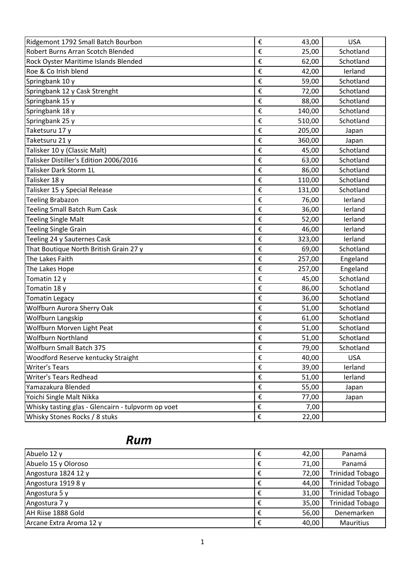| Ridgemont 1792 Small Batch Bourbon                 | €                       | 43,00  | <b>USA</b> |
|----------------------------------------------------|-------------------------|--------|------------|
| <b>Robert Burns Arran Scotch Blended</b>           | €                       | 25,00  | Schotland  |
| Rock Oyster Maritime Islands Blended               | €                       | 62,00  | Schotland  |
| Roe & Co Irish blend                               | €                       | 42,00  | lerland    |
| Springbank 10 y                                    | €                       | 59,00  | Schotland  |
| Springbank 12 y Cask Strenght                      | €                       | 72,00  | Schotland  |
| Springbank 15 y                                    | €                       | 88,00  | Schotland  |
| Springbank 18 y                                    | €                       | 140,00 | Schotland  |
| Springbank 25 y                                    | €                       | 510,00 | Schotland  |
| Taketsuru 17 y                                     | €                       | 205,00 | Japan      |
| Taketsuru 21 y                                     | €                       | 360,00 | Japan      |
| Talisker 10 y (Classic Malt)                       | €                       | 45,00  | Schotland  |
| Talisker Distiller's Edition 2006/2016             | €                       | 63,00  | Schotland  |
| Talisker Dark Storm 1L                             | €                       | 86,00  | Schotland  |
| Talisker 18 y                                      | €                       | 110,00 | Schotland  |
| Talisker 15 y Special Release                      | €                       | 131,00 | Schotland  |
| <b>Teeling Brabazon</b>                            | €                       | 76,00  | lerland    |
| <b>Teeling Small Batch Rum Cask</b>                | €                       | 36,00  | lerland    |
| <b>Teeling Single Malt</b>                         | €                       | 52,00  | lerland    |
| <b>Teeling Single Grain</b>                        | €                       | 46,00  | lerland    |
| Teeling 24 y Sauternes Cask                        | €                       | 323,00 | lerland    |
| That Boutique North British Grain 27 y             | €                       | 69,00  | Schotland  |
| The Lakes Faith                                    | €                       | 257,00 | Engeland   |
| The Lakes Hope                                     | €                       | 257,00 | Engeland   |
| Tomatin 12 y                                       | €                       | 45,00  | Schotland  |
| Tomatin 18 y                                       | €                       | 86,00  | Schotland  |
| <b>Tomatin Legacy</b>                              | €                       | 36,00  | Schotland  |
| Wolfburn Aurora Sherry Oak                         | €                       | 51,00  | Schotland  |
| Wolfburn Langskip                                  | €                       | 61,00  | Schotland  |
| Wolfburn Morven Light Peat                         | €                       | 51,00  | Schotland  |
| <b>Wolfburn Northland</b>                          | €                       | 51,00  | Schotland  |
| Wolfburn Small Batch 375                           | €                       | 79,00  | Schotland  |
| Woodford Reserve kentucky Straight                 | €                       | 40,00  | <b>USA</b> |
| <b>Writer's Tears</b>                              | €                       | 39,00  | lerland    |
| <b>Writer's Tears Redhead</b>                      | €                       | 51,00  | lerland    |
| Yamazakura Blended                                 | $\boldsymbol{\epsilon}$ | 55,00  | Japan      |
| Yoichi Single Malt Nikka                           | €                       | 77,00  | Japan      |
| Whisky tasting glas - Glencairn - tulpvorm op voet | €                       | 7,00   |            |
| Whisky Stones Rocks / 8 stuks                      | $\boldsymbol{\epsilon}$ | 22,00  |            |

## *Rum*

| Abuelo 12 y             | € | 42,00 | Panamá                 |
|-------------------------|---|-------|------------------------|
| Abuelo 15 y Oloroso     | € | 71,00 | Panamá                 |
| Angostura 1824 12 y     | € | 72,00 | <b>Trinidad Tobago</b> |
| Angostura 1919 8 y      | € | 44,00 | <b>Trinidad Tobago</b> |
| Angostura 5 y           | € | 31,00 | <b>Trinidad Tobago</b> |
| Angostura 7 y           | € | 35,00 | <b>Trinidad Tobago</b> |
| AH Riise 1888 Gold      | € | 56,00 | Denemarken             |
| Arcane Extra Aroma 12 y | € | 40,00 | Mauritius              |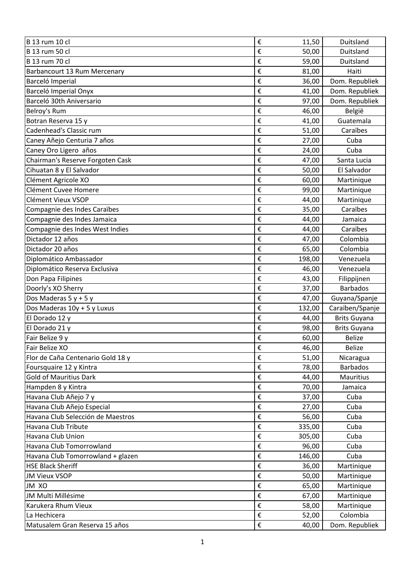| B 13 rum 10 cl                    | €                       | 11,50  | Duitsland           |
|-----------------------------------|-------------------------|--------|---------------------|
| B 13 rum 50 cl                    | €                       | 50,00  | Duitsland           |
| <b>B</b> 13 rum 70 cl             | €                       | 59,00  | Duitsland           |
| Barbancourt 13 Rum Mercenary      | €                       | 81,00  | Haiti               |
| Barceló Imperial                  | €                       | 36,00  | Dom. Republiek      |
| Barceló Imperial Onyx             | €                       | 41,00  | Dom. Republiek      |
| Barceló 30th Aniversario          | €                       | 97,00  | Dom. Republiek      |
| Belroy's Rum                      | €                       | 46,00  | België              |
| Botran Reserva 15 y               | €                       | 41,00  | Guatemala           |
| Cadenhead's Classic rum           | €                       | 51,00  | Caraïbes            |
| Caney Añejo Centuria 7 años       | €                       | 27,00  | Cuba                |
| Caney Oro Ligero años             | €                       | 24,00  | Cuba                |
| Chairman's Reserve Forgoten Cask  | €                       | 47,00  | Santa Lucia         |
| Cihuatan 8 y El Salvador          | €                       | 50,00  | El Salvador         |
| Clément Agricole XO               | €                       | 60,00  | Martinique          |
| Clément Cuvee Homere              | €                       | 99,00  | Martinique          |
| Clément Vieux VSOP                | €                       | 44,00  | Martinique          |
| Compagnie des Indes Caraïbes      | €                       | 35,00  | Caraïbes            |
| Compagnie des Indes Jamaica       | €                       | 44,00  | Jamaica             |
| Compagnie des Indes West Indies   | €                       | 44,00  | Caraïbes            |
| Dictador 12 años                  | €                       | 47,00  | Colombia            |
| Dictador 20 años                  | €                       | 65,00  | Colombia            |
| Diplomático Ambassador            | €                       | 198,00 | Venezuela           |
| Diplomático Reserva Exclusiva     | €                       | 46,00  | Venezuela           |
| Don Papa Filipines                | €                       | 43,00  | Filippijnen         |
| Doorly's XO Sherry                | €                       | 37,00  | <b>Barbados</b>     |
| Dos Maderas $5y + 5y$             | €                       | 47,00  | Guyana/Spanje       |
| Dos Maderas 10y + 5 y Luxus       | €                       | 132,00 | Caraïben/Spanje     |
| El Dorado 12 y                    | €                       | 44,00  | <b>Brits Guyana</b> |
| El Dorado 21 y                    | €                       | 98,00  | <b>Brits Guyana</b> |
| Fair Belize 9 y                   | €                       | 60,00  | <b>Belize</b>       |
| Fair Belize XO                    | €                       | 46,00  | <b>Belize</b>       |
| Flor de Caña Centenario Gold 18 y | $\boldsymbol{\epsilon}$ | 51,00  | Nicaragua           |
| Foursquaire 12 y Kintra           | €                       | 78,00  | <b>Barbados</b>     |
| <b>Gold of Mauritius Dark</b>     | €                       | 44,00  | <b>Mauritius</b>    |
| Hampden 8 y Kintra                | €                       | 70,00  | Jamaica             |
| Havana Club Añejo 7 y             | €                       | 37,00  | Cuba                |
| Havana Club Añejo Especial        | €                       | 27,00  | Cuba                |
| Havana Club Selección de Maestros | €                       | 56,00  | Cuba                |
| Havana Club Tribute               | €                       | 335,00 | Cuba                |
| Havana Club Union                 | €                       | 305,00 | Cuba                |
| Havana Club Tomorrowland          | €                       | 96,00  | Cuba                |
| Havana Club Tomorrowland + glazen | €                       | 146,00 | Cuba                |
| <b>HSE Black Sheriff</b>          | €                       | 36,00  | Martinique          |
| <b>JM Vieux VSOP</b>              | $\boldsymbol{\epsilon}$ | 50,00  | Martinique          |
| JM XO                             | €                       | 65,00  | Martinique          |
| JM Multi Millésime                | €                       | 67,00  | Martinique          |
| Karukera Rhum Vieux               | €                       | 58,00  | Martinique          |
| La Hechicera                      | €                       | 52,00  | Colombia            |
|                                   |                         |        |                     |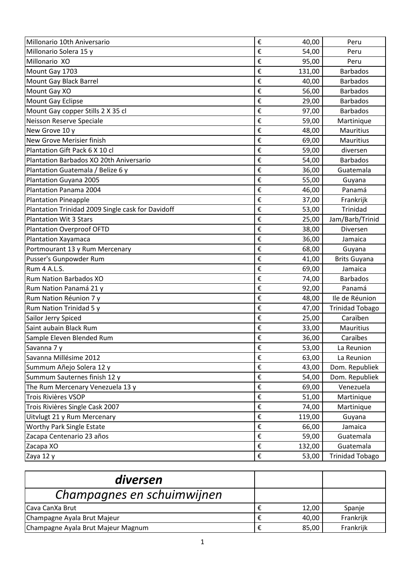| Millonario 10th Aniversario                       | €                       | 40,00  | Peru                   |
|---------------------------------------------------|-------------------------|--------|------------------------|
| Millonario Solera 15 y                            | €                       | 54,00  | Peru                   |
| Millonario XO                                     | €                       | 95,00  | Peru                   |
| Mount Gay 1703                                    | €                       | 131,00 | <b>Barbados</b>        |
| Mount Gay Black Barrel                            | €                       | 40,00  | <b>Barbados</b>        |
| Mount Gay XO                                      | €                       | 56,00  | <b>Barbados</b>        |
| Mount Gay Eclipse                                 | €                       | 29,00  | <b>Barbados</b>        |
| Mount Gay copper Stills 2 X 35 cl                 | €                       | 97,00  | <b>Barbados</b>        |
| Neisson Reserve Speciale                          | €                       | 59,00  | Martinique             |
| New Grove 10 y                                    | €                       | 48,00  | <b>Mauritius</b>       |
| New Grove Merisier finish                         | €                       | 69,00  | <b>Mauritius</b>       |
| Plantation Gift Pack 6 X 10 cl                    | €                       | 59,00  | diversen               |
| Plantation Barbados XO 20th Aniversario           | €                       | 54,00  | <b>Barbados</b>        |
| Plantation Guatemala / Belize 6 y                 | €                       | 36,00  | Guatemala              |
| Plantation Guyana 2005                            | €                       | 55,00  | Guyana                 |
| Plantation Panama 2004                            | €                       | 46,00  | Panamá                 |
| <b>Plantation Pineapple</b>                       | €                       | 37,00  | Frankrijk              |
| Plantation Trinidad 2009 Single cask for Davidoff | €                       | 53,00  | Trinidad               |
| <b>Plantation Wit 3 Stars</b>                     | €                       | 25,00  | Jam/Barb/Trinid        |
| <b>Plantation Overproof OFTD</b>                  | €                       | 38,00  | Diversen               |
| <b>Plantation Xayamaca</b>                        | €                       | 36,00  | Jamaica                |
| Portmourant 13 y Rum Mercenary                    | €                       | 68,00  | Guyana                 |
| Pusser's Gunpowder Rum                            | €                       | 41,00  | <b>Brits Guyana</b>    |
| Rum 4 A.L.S.                                      | €                       | 69,00  | Jamaica                |
| <b>Rum Nation Barbados XO</b>                     | €                       | 74,00  | <b>Barbados</b>        |
| Rum Nation Panamá 21 y                            | €                       | 92,00  | Panamá                 |
| Rum Nation Réunion 7 y                            | €                       | 48,00  | Ile de Réunion         |
| Rum Nation Trinidad 5 y                           | €                       | 47,00  | <b>Trinidad Tobago</b> |
| Sailor Jerry Spiced                               | €                       | 25,00  | Caraïben               |
| Saint aubain Black Rum                            | €                       | 33,00  | <b>Mauritius</b>       |
| Sample Eleven Blended Rum                         | €                       | 36,00  | Caraïbes               |
| Savanna 7 y                                       | €                       | 53,00  | La Reunion             |
| Savanna Millésime 2012                            | €                       | 63,00  | La Reunion             |
| Summum Añejo Solera 12 y                          | €                       | 43,00  | Dom. Republiek         |
| Summum Sauternes finish 12 y                      | €                       | 54,00  | Dom. Republiek         |
| The Rum Mercenary Venezuela 13 y                  | €                       | 69,00  | Venezuela              |
| Trois Rivières VSOP                               | €                       | 51,00  | Martinique             |
| Trois Rivières Single Cask 2007                   | $\pmb{\epsilon}$        | 74,00  | Martinique             |
| Uitvlugt 21 y Rum Mercenary                       | €                       | 119,00 | Guyana                 |
| Worthy Park Single Estate                         | €                       | 66,00  | Jamaica                |
| Zacapa Centenario 23 años                         | €                       | 59,00  | Guatemala              |
| Zacapa XO                                         | €                       | 132,00 | Guatemala              |
| Zaya 12 y                                         | $\boldsymbol{\epsilon}$ | 53,00  | <b>Trinidad Tobago</b> |

| diversen                           |       |           |
|------------------------------------|-------|-----------|
| Champagnes en schuimwijnen         |       |           |
| ICava CanXa Brut                   | 12,00 | Spanje    |
| Champagne Ayala Brut Majeur        | 40,00 | Frankrijk |
| Champagne Ayala Brut Majeur Magnum | 85,00 | Frankrijk |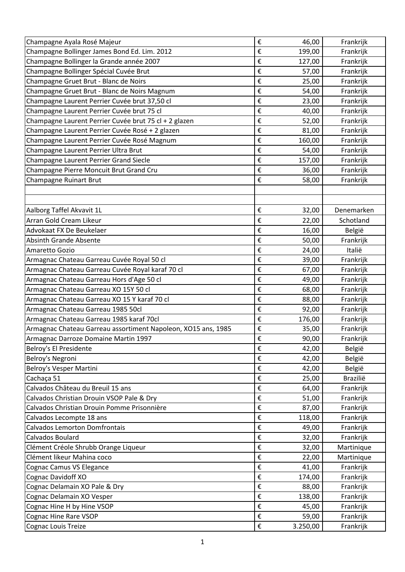| Champagne Ayala Rosé Majeur                                   | €                       | 46,00    | Frankrijk  |
|---------------------------------------------------------------|-------------------------|----------|------------|
| Champagne Bollinger James Bond Ed. Lim. 2012                  | €                       | 199,00   | Frankrijk  |
| Champagne Bollinger la Grande année 2007                      | €                       | 127,00   | Frankrijk  |
| Champagne Bollinger Spécial Cuvée Brut                        | €                       | 57,00    | Frankrijk  |
| Champagne Gruet Brut - Blanc de Noirs                         | €                       | 25,00    | Frankrijk  |
| Champagne Gruet Brut - Blanc de Noirs Magnum                  | €                       | 54,00    | Frankrijk  |
| Champagne Laurent Perrier Cuvée brut 37,50 cl                 | €                       | 23,00    | Frankrijk  |
| Champagne Laurent Perrier Cuvée brut 75 cl                    | €                       | 40,00    | Frankrijk  |
| Champagne Laurent Perrier Cuvée brut 75 cl + 2 glazen         | €                       | 52,00    | Frankrijk  |
| Champagne Laurent Perrier Cuvée Rosé + 2 glazen               | €                       | 81,00    | Frankrijk  |
| Champagne Laurent Perrier Cuvée Rosé Magnum                   | €                       | 160,00   | Frankrijk  |
| Champagne Laurent Perrier Ultra Brut                          | €                       | 54,00    | Frankrijk  |
| Champagne Laurent Perrier Grand Siecle                        | €                       | 157,00   | Frankrijk  |
| Champagne Pierre Moncuit Brut Grand Cru                       | €                       | 36,00    | Frankrijk  |
| Champagne Ruinart Brut                                        | €                       | 58,00    | Frankrijk  |
|                                                               |                         |          |            |
|                                                               |                         |          |            |
| Aalborg Taffel Akvavit 1L                                     | €                       | 32,00    | Denemarken |
| Arran Gold Cream Likeur                                       | €                       | 22,00    | Schotland  |
| Advokaat FX De Beukelaer                                      | €                       | 16,00    | België     |
| <b>Absinth Grande Absente</b>                                 | €                       | 50,00    | Frankrijk  |
| Amaretto Gozio                                                | €                       | 24,00    | Italië     |
| Armagnac Chateau Garreau Cuvée Royal 50 cl                    | €                       | 39,00    | Frankrijk  |
| Armagnac Chateau Garreau Cuvée Royal karaf 70 cl              | €                       | 67,00    | Frankrijk  |
| Armagnac Chateau Garreau Hors d'Age 50 cl                     | €                       | 49,00    | Frankrijk  |
| Armagnac Chateau Garreau XO 15Y 50 cl                         | €                       | 68,00    | Frankrijk  |
| Armagnac Chateau Garreau XO 15 Y karaf 70 cl                  | €                       | 88,00    | Frankrijk  |
| Armagnac Chateau Garreau 1985 50cl                            | €                       | 92,00    | Frankrijk  |
| Armagnac Chateau Garreau 1985 karaf 70cl                      | €                       | 176,00   | Frankrijk  |
| Armagnac Chateau Garreau assortiment Napoleon, XO15 ans, 1985 | €                       | 35,00    | Frankrijk  |
| Armagnac Darroze Domaine Martin 1997                          | €                       | 90,00    | Frankrijk  |
| Belroy's El Presidente                                        | €                       | 42,00    | België     |
| Belroy's Negroni                                              | €                       | 42,00    | België     |
| Belroy's Vesper Martini                                       | €                       | 42,00    | België     |
| Cachaça 51                                                    | €                       | 25,00    | Brazilië   |
| Calvados Château du Breuil 15 ans                             | €                       | 64,00    | Frankrijk  |
| Calvados Christian Drouin VSOP Pale & Dry                     | €                       | 51,00    | Frankrijk  |
| Calvados Christian Drouin Pomme Prisonnière                   | €                       | 87,00    | Frankrijk  |
| Calvados Lecompte 18 ans                                      | €                       | 118,00   | Frankrijk  |
| <b>Calvados Lemorton Domfrontais</b>                          | €                       | 49,00    | Frankrijk  |
| Calvados Boulard                                              | $\boldsymbol{\epsilon}$ | 32,00    | Frankrijk  |
| Clément Créole Shrubb Orange Liqueur                          | €                       | 32,00    | Martinique |
| Clément likeur Mahina coco                                    | €                       | 22,00    | Martinique |
| Cognac Camus VS Elegance                                      | €                       | 41,00    | Frankrijk  |
| Cognac Davidoff XO                                            | €                       | 174,00   | Frankrijk  |
| Cognac Delamain XO Pale & Dry                                 | €                       | 88,00    | Frankrijk  |
| Cognac Delamain XO Vesper                                     | $\boldsymbol{\epsilon}$ | 138,00   | Frankrijk  |
| Cognac Hine H by Hine VSOP                                    | €                       | 45,00    | Frankrijk  |
| Cognac Hine Rare VSOP                                         | €                       | 59,00    | Frankrijk  |
| Cognac Louis Treize                                           | €                       | 3.250,00 | Frankrijk  |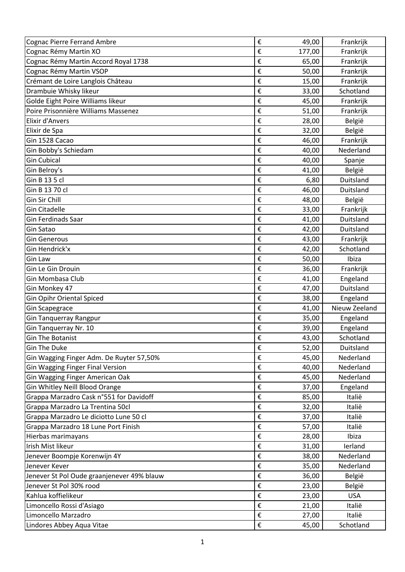| <b>Cognac Pierre Ferrand Ambre</b>         | €                       | 49,00  | Frankrijk     |
|--------------------------------------------|-------------------------|--------|---------------|
| Cognac Rémy Martin XO                      | €                       | 177,00 | Frankrijk     |
| Cognac Rémy Martin Accord Royal 1738       | €                       | 65,00  | Frankrijk     |
| Cognac Rémy Martin VSOP                    | €                       | 50,00  | Frankrijk     |
| Crémant de Loire Langlois Château          | €                       | 15,00  | Frankrijk     |
| Drambuie Whisky likeur                     | €                       | 33,00  | Schotland     |
| Golde Eight Poire Williams likeur          | €                       | 45,00  | Frankrijk     |
| Poire Prisonnière Williams Massenez        | €                       | 51,00  | Frankrijk     |
| Elixir d'Anvers                            | €                       | 28,00  | België        |
| Elixir de Spa                              | €                       | 32,00  | België        |
| Gin 1528 Cacao                             | €                       | 46,00  | Frankrijk     |
| Gin Bobby's Schiedam                       | €                       | 40,00  | Nederland     |
| <b>Gin Cubical</b>                         | €                       | 40,00  | Spanje        |
| Gin Belroy's                               | €                       | 41,00  | België        |
| Gin B 13 5 cl                              | €                       | 6,80   | Duitsland     |
| Gin B 13 70 cl                             | €                       | 46,00  | Duitsland     |
| Gin Sir Chill                              | €                       | 48,00  | België        |
| <b>Gin Citadelle</b>                       | €                       | 33,00  | Frankrijk     |
| <b>Gin Ferdinads Saar</b>                  | €                       | 41,00  | Duitsland     |
| Gin Satao                                  | €                       | 42,00  | Duitsland     |
| <b>Gin Generous</b>                        | €                       | 43,00  | Frankrijk     |
| Gin Hendrick'x                             | €                       | 42,00  | Schotland     |
| <b>Gin Law</b>                             | €                       | 50,00  | Ibiza         |
| Gin Le Gin Drouin                          | €                       | 36,00  | Frankrijk     |
| Gin Mombasa Club                           | €                       | 41,00  | Engeland      |
|                                            |                         |        |               |
| Gin Monkey 47                              | €                       | 47,00  | Duitsland     |
| <b>Gin Opihr Oriental Spiced</b>           | €                       | 38,00  | Engeland      |
| <b>Gin Scapegrace</b>                      | €                       | 41,00  | Nieuw Zeeland |
| <b>Gin Tanquerray Rangpur</b>              | €                       | 35,00  | Engeland      |
| Gin Tanquerray Nr. 10                      | €                       | 39,00  | Engeland      |
| <b>Gin The Botanist</b>                    | €                       | 43,00  | Schotland     |
| <b>Gin The Duke</b>                        | €                       | 52,00  | Duitsland     |
| Gin Wagging Finger Adm. De Ruyter 57,50%   | €                       | 45,00  | Nederland     |
| <b>Gin Wagging Finger Final Version</b>    | €                       | 40,00  | Nederland     |
| Gin Wagging Finger American Oak            | €                       | 45,00  | Nederland     |
| Gin Whitley Neill Blood Orange             | €                       | 37,00  | Engeland      |
| Grappa Marzadro Cask n°551 for Davidoff    | €                       | 85,00  | Italië        |
| Grappa Marzadro La Trentina 50cl           | €                       | 32,00  | Italië        |
| Grappa Marzadro Le diciotto Lune 50 cl     | €                       | 37,00  | Italië        |
| Grappa Marzadro 18 Lune Port Finish        | €                       | 57,00  | Italië        |
| Hierbas marimayans                         | €                       | 28,00  | Ibiza         |
| Irish Mist likeur                          | €                       | 31,00  | lerland       |
| Jenever Boompje Korenwijn 4Y               | €                       | 38,00  | Nederland     |
| Jenever Kever                              | €                       | 35,00  | Nederland     |
| Jenever St Pol Oude graanjenever 49% blauw | €                       | 36,00  | België        |
| Jenever St Pol 30% rood                    | €                       | 23,00  | België        |
| Kahlua koffielikeur                        | €                       | 23,00  | <b>USA</b>    |
| Limoncello Rossi d'Asiago                  | $\boldsymbol{\epsilon}$ | 21,00  | Italië        |
| Limoncello Marzadro                        | $\boldsymbol{\epsilon}$ | 27,00  | Italië        |